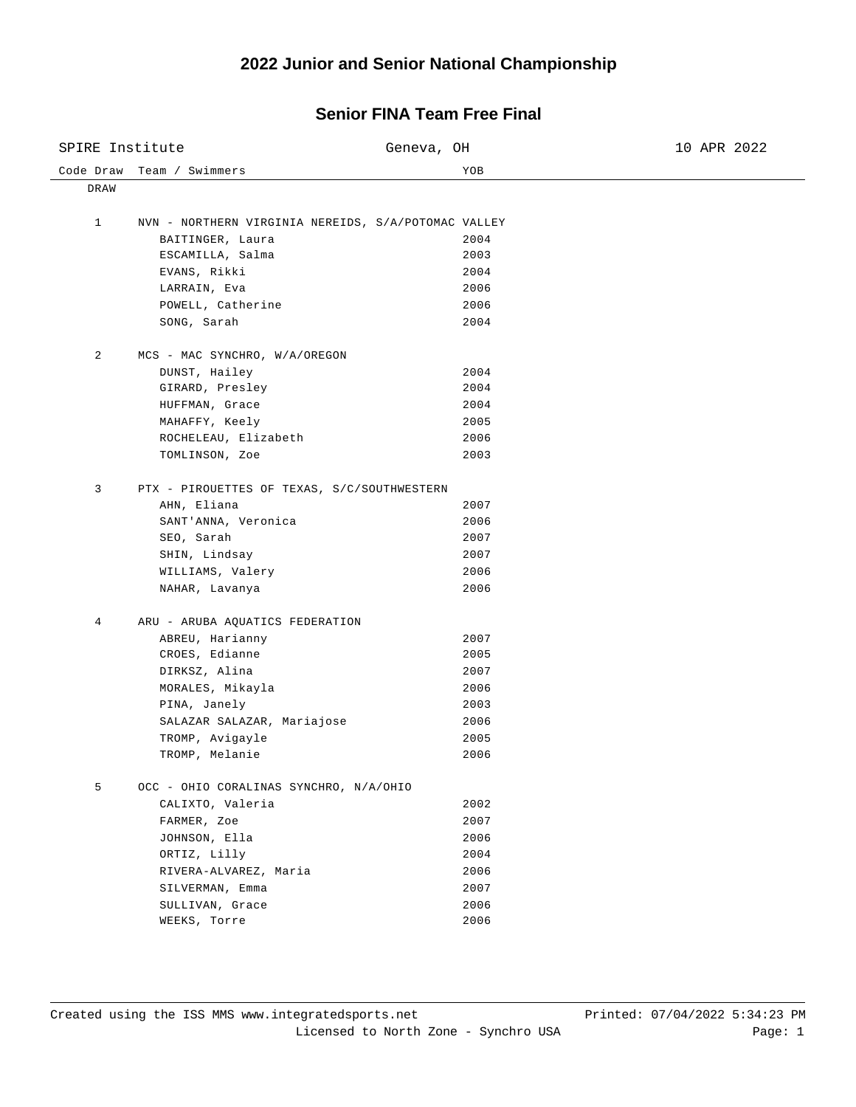## **2022 Junior and Senior National Championship**

## **Senior FINA Team Free Final**

| SPIRE Institute |                                                     | Geneva, OH | 10 APR 2022 |
|-----------------|-----------------------------------------------------|------------|-------------|
| Code Draw       | Team / Swimmers                                     | YOB        |             |
| DRAW            |                                                     |            |             |
| 1               | NVN - NORTHERN VIRGINIA NEREIDS, S/A/POTOMAC VALLEY |            |             |
|                 | BAITINGER, Laura                                    | 2004       |             |
|                 | ESCAMILLA, Salma                                    | 2003       |             |
|                 | EVANS, Rikki                                        | 2004       |             |
|                 | LARRAIN, Eva                                        | 2006       |             |
|                 | POWELL, Catherine                                   | 2006       |             |
|                 | SONG, Sarah                                         | 2004       |             |
|                 |                                                     |            |             |
| 2               | MCS - MAC SYNCHRO, W/A/OREGON                       |            |             |
|                 | DUNST, Hailey                                       | 2004       |             |
|                 | GIRARD, Presley                                     | 2004       |             |
|                 | HUFFMAN, Grace                                      | 2004       |             |
|                 | MAHAFFY, Keely                                      | 2005       |             |
|                 | ROCHELEAU, Elizabeth                                | 2006       |             |
|                 | TOMLINSON, Zoe                                      | 2003       |             |
| 3               | PTX - PIROUETTES OF TEXAS, S/C/SOUTHWESTERN         |            |             |
|                 | AHN, Eliana                                         | 2007       |             |
|                 | SANT'ANNA, Veronica                                 | 2006       |             |
|                 | SEO, Sarah                                          | 2007       |             |
|                 | SHIN, Lindsay                                       | 2007       |             |
|                 | WILLIAMS, Valery                                    | 2006       |             |
|                 | NAHAR, Lavanya                                      | 2006       |             |
| 4               | ARU - ARUBA AQUATICS FEDERATION                     |            |             |
|                 | ABREU, Harianny                                     | 2007       |             |
|                 | CROES, Edianne                                      | 2005       |             |
|                 | DIRKSZ, Alina                                       | 2007       |             |
|                 | MORALES, Mikayla                                    | 2006       |             |
|                 | PINA, Janely                                        | 2003       |             |
|                 | SALAZAR SALAZAR, Mariajose                          | 2006       |             |
|                 | TROMP, Avigayle                                     | 2005       |             |
|                 | TROMP, Melanie                                      | 2006       |             |
| 5               | OCC - OHIO CORALINAS SYNCHRO, N/A/OHIO              |            |             |
|                 | CALIXTO, Valeria                                    | 2002       |             |
|                 | FARMER, Zoe                                         | 2007       |             |
|                 | JOHNSON, Ella                                       | 2006       |             |
|                 | ORTIZ, Lilly                                        | 2004       |             |
|                 | RIVERA-ALVAREZ, Maria                               | 2006       |             |
|                 | SILVERMAN, Emma                                     | 2007       |             |
|                 | SULLIVAN, Grace                                     | 2006       |             |
|                 | WEEKS, Torre                                        | 2006       |             |
|                 |                                                     |            |             |